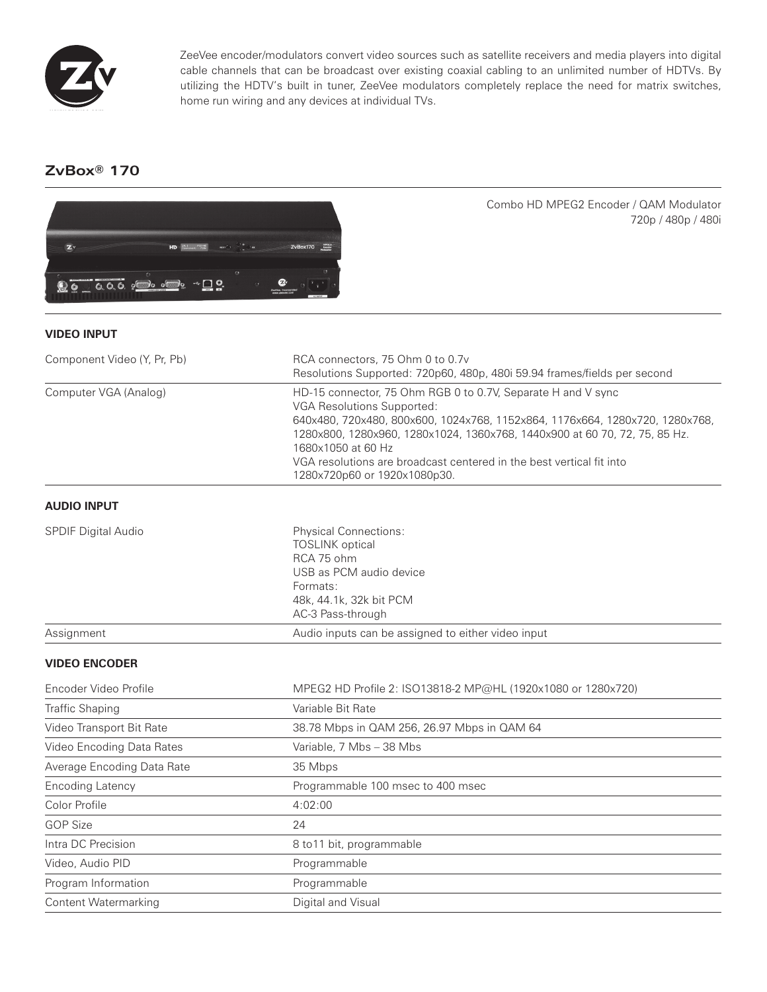

ZeeVee encoder/modulators convert video sources such as satellite receivers and media players into digital cable channels that can be broadcast over existing coaxial cabling to an unlimited number of HDTVs. By utilizing the HDTV's built in tuner, ZeeVee modulators completely replace the need for matrix switches, home run wiring and any devices at individual TVs.

# **ZvBox® 170**



Combo HD MPEG2 Encoder / QAM Modulator 720p / 480p / 480i

## **VIDEO INPUT**

| Component Video (Y, Pr, Pb) | RCA connectors, 75 Ohm 0 to 0.7v<br>Resolutions Supported: 720p60, 480p, 480i 59.94 frames/fields per second                                                                                                                                                                                                                                                                                  |
|-----------------------------|-----------------------------------------------------------------------------------------------------------------------------------------------------------------------------------------------------------------------------------------------------------------------------------------------------------------------------------------------------------------------------------------------|
| Computer VGA (Analog)       | HD-15 connector, 75 Ohm RGB 0 to 0.7V, Separate H and V sync<br><b>VGA Resolutions Supported:</b><br>640x480, 720x480, 800x600, 1024x768, 1152x864, 1176x664, 1280x720, 1280x768,<br>1280x800, 1280x960, 1280x1024, 1360x768, 1440x900 at 60 70, 72, 75, 85 Hz.<br>1680x1050 at 60 Hz<br>VGA resolutions are broadcast centered in the best vertical fit into<br>1280x720p60 or 1920x1080p30. |
| <b>AUDIO INPUT</b>          |                                                                                                                                                                                                                                                                                                                                                                                               |
| <b>SPDIF Digital Audio</b>  | <b>Physical Connections:</b><br><b>TOSLINK</b> optical<br>RCA 75 ohm<br>USB as PCM audio device<br>Formats:<br>48k, 44.1k, 32k bit PCM<br>AC-3 Pass-through                                                                                                                                                                                                                                   |
| Assignment                  | Audio inputs can be assigned to either video input                                                                                                                                                                                                                                                                                                                                            |
| <b>VIDEO ENCODER</b>        |                                                                                                                                                                                                                                                                                                                                                                                               |
| Encoder Video Profile       | MPEG2 HD Profile 2: ISO13818-2 MP@HL (1920x1080 or 1280x720)                                                                                                                                                                                                                                                                                                                                  |
| <b>Traffic Shaping</b>      | Variable Bit Rate                                                                                                                                                                                                                                                                                                                                                                             |
| Video Transport Bit Rate    | 38.78 Mbps in QAM 256, 26.97 Mbps in QAM 64                                                                                                                                                                                                                                                                                                                                                   |
| Video Encoding Data Rates   | Variable, 7 Mbs - 38 Mbs                                                                                                                                                                                                                                                                                                                                                                      |
| Average Encoding Data Rate  | 35 Mbps                                                                                                                                                                                                                                                                                                                                                                                       |
| <b>Encoding Latency</b>     | Programmable 100 msec to 400 msec                                                                                                                                                                                                                                                                                                                                                             |
| Color Profile               | 4.02.00                                                                                                                                                                                                                                                                                                                                                                                       |

Color Profile 4:02:00 GOP Size 24 Intra DC Precision **8 to 11 bit, programmable** Video, Audio PID **Programmable** Program Information **Programmable** Content Watermarking **Content Watermarking Digital and Visual**